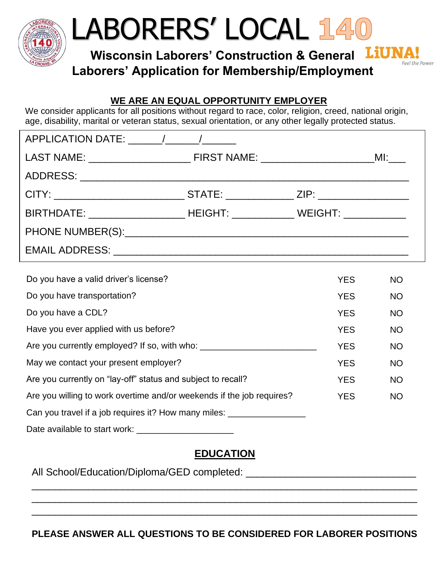

## LABORERS' LOCAL

**Wisconsin Laborers' Construction & General Laborers' Application for Membership/Employment**

Feel the Power



We consider applicants for all positions without regard to race, color, religion, creed, national origin, age, disability, marital or veteran status, sexual orientation, or any other legally protected status.

| CITY: ___________________________________STATE: _________________ZIP: ______________________________ |  |  |
|------------------------------------------------------------------------------------------------------|--|--|
| BIRTHDATE: ___________________________HEIGHT: _______________WEIGHT: ___________                     |  |  |
|                                                                                                      |  |  |
|                                                                                                      |  |  |

| Do you have a valid driver's license?                                 | <b>YES</b> | <b>NO</b> |
|-----------------------------------------------------------------------|------------|-----------|
| Do you have transportation?                                           | <b>YES</b> | <b>NO</b> |
| Do you have a CDL?                                                    | <b>YES</b> | <b>NO</b> |
| Have you ever applied with us before?                                 | <b>YES</b> | <b>NO</b> |
| Are you currently employed? If so, with who:                          | <b>YES</b> | <b>NO</b> |
| May we contact your present employer?                                 | <b>YES</b> | <b>NO</b> |
| Are you currently on "lay-off" status and subject to recall?          | <b>YES</b> | <b>NO</b> |
| Are you willing to work overtime and/or weekends if the job requires? | <b>YES</b> | <b>NO</b> |
| Can you travel if a job requires it? How many miles:                  |            |           |
| Date available to start work:                                         |            |           |

## **EDUCATION**

\_\_\_\_\_\_\_\_\_\_\_\_\_\_\_\_\_\_\_\_\_\_\_\_\_\_\_\_\_\_\_\_\_\_\_\_\_\_\_\_\_\_\_\_\_\_\_\_\_\_\_\_\_\_\_\_\_\_\_\_\_\_\_\_\_\_\_\_ \_\_\_\_\_\_\_\_\_\_\_\_\_\_\_\_\_\_\_\_\_\_\_\_\_\_\_\_\_\_\_\_\_\_\_\_\_\_\_\_\_\_\_\_\_\_\_\_\_\_\_\_\_\_\_\_\_\_\_\_\_\_\_\_\_\_\_\_ \_\_\_\_\_\_\_\_\_\_\_\_\_\_\_\_\_\_\_\_\_\_\_\_\_\_\_\_\_\_\_\_\_\_\_\_\_\_\_\_\_\_\_\_\_\_\_\_\_\_\_\_\_\_\_\_\_\_\_\_\_\_\_\_\_\_\_\_

All School/Education/Diploma/GED completed: \_\_\_\_\_\_\_\_\_\_\_\_\_\_\_\_\_\_\_\_\_\_\_\_\_\_\_\_\_\_

**PLEASE ANSWER ALL QUESTIONS TO BE CONSIDERED FOR LABORER POSITIONS**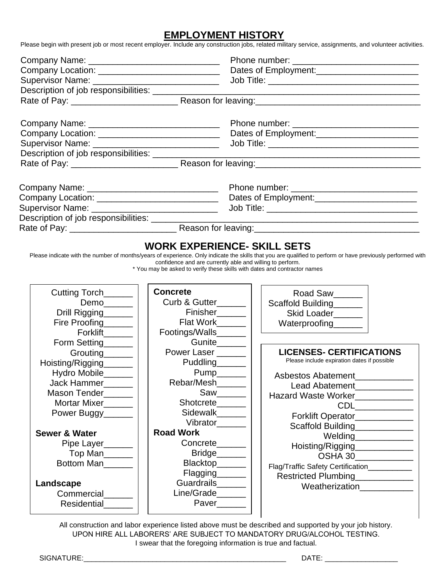## **EMPLOYMENT HISTORY**

Please begin with present job or most recent employer. Include any construction jobs, related military service, assignments, and volunteer activities.

| Company Location: ______________________________                                                                                                                      |                                                                                                                                                                                                                                                                | Dates of Employment:<br><u> </u>                                                                                                                                                                                                                                                                                                                                                                                                                                                                                                                                                                                                                                                                                                                             |  |
|-----------------------------------------------------------------------------------------------------------------------------------------------------------------------|----------------------------------------------------------------------------------------------------------------------------------------------------------------------------------------------------------------------------------------------------------------|--------------------------------------------------------------------------------------------------------------------------------------------------------------------------------------------------------------------------------------------------------------------------------------------------------------------------------------------------------------------------------------------------------------------------------------------------------------------------------------------------------------------------------------------------------------------------------------------------------------------------------------------------------------------------------------------------------------------------------------------------------------|--|
|                                                                                                                                                                       |                                                                                                                                                                                                                                                                |                                                                                                                                                                                                                                                                                                                                                                                                                                                                                                                                                                                                                                                                                                                                                              |  |
|                                                                                                                                                                       |                                                                                                                                                                                                                                                                |                                                                                                                                                                                                                                                                                                                                                                                                                                                                                                                                                                                                                                                                                                                                                              |  |
|                                                                                                                                                                       |                                                                                                                                                                                                                                                                |                                                                                                                                                                                                                                                                                                                                                                                                                                                                                                                                                                                                                                                                                                                                                              |  |
|                                                                                                                                                                       |                                                                                                                                                                                                                                                                |                                                                                                                                                                                                                                                                                                                                                                                                                                                                                                                                                                                                                                                                                                                                                              |  |
| Company Location: _____________________________                                                                                                                       |                                                                                                                                                                                                                                                                | Dates of Employment:<br><u> Letter</u> 2021                                                                                                                                                                                                                                                                                                                                                                                                                                                                                                                                                                                                                                                                                                                  |  |
|                                                                                                                                                                       |                                                                                                                                                                                                                                                                |                                                                                                                                                                                                                                                                                                                                                                                                                                                                                                                                                                                                                                                                                                                                                              |  |
| Description of job responsibilities: ___________________                                                                                                              |                                                                                                                                                                                                                                                                |                                                                                                                                                                                                                                                                                                                                                                                                                                                                                                                                                                                                                                                                                                                                                              |  |
|                                                                                                                                                                       |                                                                                                                                                                                                                                                                |                                                                                                                                                                                                                                                                                                                                                                                                                                                                                                                                                                                                                                                                                                                                                              |  |
|                                                                                                                                                                       |                                                                                                                                                                                                                                                                |                                                                                                                                                                                                                                                                                                                                                                                                                                                                                                                                                                                                                                                                                                                                                              |  |
|                                                                                                                                                                       |                                                                                                                                                                                                                                                                |                                                                                                                                                                                                                                                                                                                                                                                                                                                                                                                                                                                                                                                                                                                                                              |  |
| Company Location: _____________________________                                                                                                                       |                                                                                                                                                                                                                                                                |                                                                                                                                                                                                                                                                                                                                                                                                                                                                                                                                                                                                                                                                                                                                                              |  |
|                                                                                                                                                                       |                                                                                                                                                                                                                                                                |                                                                                                                                                                                                                                                                                                                                                                                                                                                                                                                                                                                                                                                                                                                                                              |  |
|                                                                                                                                                                       |                                                                                                                                                                                                                                                                |                                                                                                                                                                                                                                                                                                                                                                                                                                                                                                                                                                                                                                                                                                                                                              |  |
|                                                                                                                                                                       |                                                                                                                                                                                                                                                                |                                                                                                                                                                                                                                                                                                                                                                                                                                                                                                                                                                                                                                                                                                                                                              |  |
| Cutting Torch______<br>Demo______<br>Drill Rigging______<br>Fire Proofing______<br>Forklift______<br>Form Setting______                                               | confidence and are currently able and willing to perform.<br>* You may be asked to verify these skills with dates and contractor names<br><b>Concrete</b><br>Curb & Gutter______<br>Finisher______<br>Flat Work______<br>Footings/Walls_______<br>Gunite______ | Road Saw<br>Scaffold Building<br><u>Letting</u><br>Skid Loader_____<br>Waterproofing_______                                                                                                                                                                                                                                                                                                                                                                                                                                                                                                                                                                                                                                                                  |  |
| Grouting______<br>Hoisting/Rigging_______<br>Hydro Mobile______<br>Jack Hammer______<br>Mason Tender______<br>Mortar Mixer<br>Power Buggy<br><b>Sewer &amp; Water</b> | Power Laser ______<br>Puddling______<br>Pump______<br>Rebar/Mesh______<br>$Saw$ <sub>________</sub><br>Shotcrete_______<br>Sidewalk_______<br>Vibrator<br><b>Road Work</b>                                                                                     | <b>LICENSES- CERTIFICATIONS</b><br>Please include expiration dates if possible<br><b>Asbestos Abatement</b><br>Lead Abatement<br>Hazard Waste Worker____________<br>$\begin{tabular}{ c c } \hline \multicolumn{3}{ c }{CDL} \quad \quad & \multicolumn{3}{ c }{\quad \quad & \multicolumn{3}{ c }{\quad \quad \\ \hline \multicolumn{3}{ c }{CDL} \quad \quad & \multicolumn{3}{ c }{\quad \quad & \multicolumn{3}{ c }{\quad \quad \\ \hline \multicolumn{3}{ c }{CDL} \quad \quad & \multicolumn{3}{ c }{\quad \quad & \multicolumn{3}{ c }{\quad \quad \\ \hline \multicolumn{3}{ c }{CDL} \quad \quad & \multicolumn{3}{ c }{\quad \quad & \multicolumn{3}{ $<br>Forklift Operator____________<br>Scaffold Building____________<br>Welding_____________ |  |
| Pipe Layer                                                                                                                                                            | Concrete______                                                                                                                                                                                                                                                 | Hoisting/Rigging_____________                                                                                                                                                                                                                                                                                                                                                                                                                                                                                                                                                                                                                                                                                                                                |  |
| Top Man                                                                                                                                                               | Bridge                                                                                                                                                                                                                                                         | OSHA 30_____________                                                                                                                                                                                                                                                                                                                                                                                                                                                                                                                                                                                                                                                                                                                                         |  |
| Bottom Man                                                                                                                                                            | Blacktop______                                                                                                                                                                                                                                                 | Flag/Traffic Safety Certification___________                                                                                                                                                                                                                                                                                                                                                                                                                                                                                                                                                                                                                                                                                                                 |  |
|                                                                                                                                                                       | Flagging <sub>_______</sub>                                                                                                                                                                                                                                    | Restricted Plumbing____________                                                                                                                                                                                                                                                                                                                                                                                                                                                                                                                                                                                                                                                                                                                              |  |
| Landscape                                                                                                                                                             | Guardrails______                                                                                                                                                                                                                                               | Weatherization____________                                                                                                                                                                                                                                                                                                                                                                                                                                                                                                                                                                                                                                                                                                                                   |  |
| Commercial______                                                                                                                                                      | Line/Grade______                                                                                                                                                                                                                                               |                                                                                                                                                                                                                                                                                                                                                                                                                                                                                                                                                                                                                                                                                                                                                              |  |
| Residential______                                                                                                                                                     | Paver______                                                                                                                                                                                                                                                    |                                                                                                                                                                                                                                                                                                                                                                                                                                                                                                                                                                                                                                                                                                                                                              |  |

All construction and labor experience listed above must be described and supported by your job history. UPON HIRE ALL LABORERS' ARE SUBJECT TO MANDATORY DRUG/ALCOHOL TESTING. I swear that the foregoing information is true and factual.